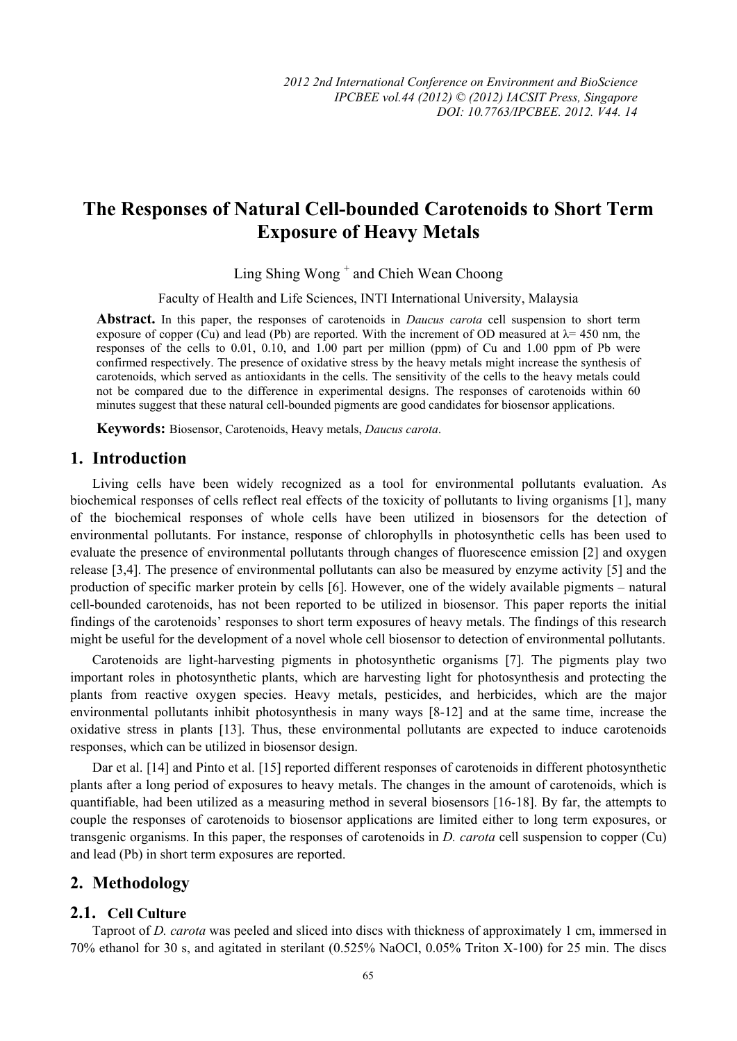# **The Responses of Natural Cell-bounded Carotenoids to Short Term Exposure of Heavy Metals**

Ling Shing Wong + and Chieh Wean Choong

Faculty of Health and Life Sciences, INTI International University, Malaysia

**Abstract.** In this paper, the responses of carotenoids in *Daucus carota* cell suspension to short term exposure of copper (Cu) and lead (Pb) are reported. With the increment of OD measured at  $\lambda$  = 450 nm, the responses of the cells to 0.01, 0.10, and 1.00 part per million (ppm) of Cu and 1.00 ppm of Pb were confirmed respectively. The presence of oxidative stress by the heavy metals might increase the synthesis of carotenoids, which served as antioxidants in the cells. The sensitivity of the cells to the heavy metals could not be compared due to the difference in experimental designs. The responses of carotenoids within 60 minutes suggest that these natural cell-bounded pigments are good candidates for biosensor applications.

**Keywords:** Biosensor, Carotenoids, Heavy metals, *Daucus carota*.

## **1. Introduction**

Living cells have been widely recognized as a tool for environmental pollutants evaluation. As biochemical responses of cells reflect real effects of the toxicity of pollutants to living organisms [1], many of the biochemical responses of whole cells have been utilized in biosensors for the detection of environmental pollutants. For instance, response of chlorophylls in photosynthetic cells has been used to evaluate the presence of environmental pollutants through changes of fluorescence emission [2] and oxygen release [3,4]. The presence of environmental pollutants can also be measured by enzyme activity [5] and the production of specific marker protein by cells [6]. However, one of the widely available pigments – natural cell-bounded carotenoids, has not been reported to be utilized in biosensor. This paper reports the initial findings of the carotenoids' responses to short term exposures of heavy metals. The findings of this research might be useful for the development of a novel whole cell biosensor to detection of environmental pollutants.

Carotenoids are light-harvesting pigments in photosynthetic organisms [7]. The pigments play two important roles in photosynthetic plants, which are harvesting light for photosynthesis and protecting the plants from reactive oxygen species. Heavy metals, pesticides, and herbicides, which are the major environmental pollutants inhibit photosynthesis in many ways [8-12] and at the same time, increase the oxidative stress in plants [13]. Thus, these environmental pollutants are expected to induce carotenoids responses, which can be utilized in biosensor design.

Dar et al. [14] and Pinto et al. [15] reported different responses of carotenoids in different photosynthetic plants after a long period of exposures to heavy metals. The changes in the amount of carotenoids, which is quantifiable, had been utilized as a measuring method in several biosensors [16-18]. By far, the attempts to couple the responses of carotenoids to biosensor applications are limited either to long term exposures, or transgenic organisms. In this paper, the responses of carotenoids in *D. carota* cell suspension to copper (Cu) and lead (Pb) in short term exposures are reported.

### **2. Methodology**

## **2.1. Cell Culture**

Taproot of *D. carota* was peeled and sliced into discs with thickness of approximately 1 cm, immersed in 70% ethanol for 30 s, and agitated in sterilant (0.525% NaOCl, 0.05% Triton X-100) for 25 min. The discs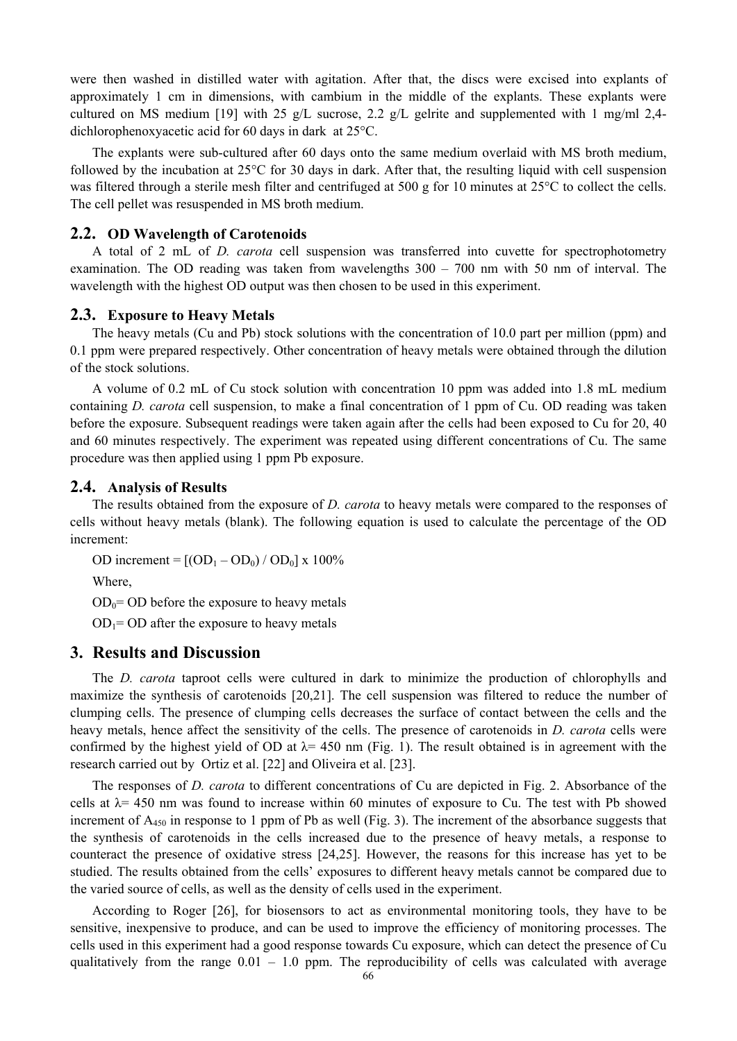were then washed in distilled water with agitation. After that, the discs were excised into explants of approximately 1 cm in dimensions, with cambium in the middle of the explants. These explants were cultured on MS medium [19] with 25 g/L sucrose, 2.2 g/L gelrite and supplemented with 1 mg/ml 2,4dichlorophenoxyacetic acid for 60 days in dark at 25°C.

The explants were sub-cultured after 60 days onto the same medium overlaid with MS broth medium, followed by the incubation at 25°C for 30 days in dark. After that, the resulting liquid with cell suspension was filtered through a sterile mesh filter and centrifuged at 500 g for 10 minutes at 25<sup>o</sup>C to collect the cells. The cell pellet was resuspended in MS broth medium.

#### **2.2. OD Wavelength of Carotenoids**

A total of 2 mL of *D. carota* cell suspension was transferred into cuvette for spectrophotometry examination. The OD reading was taken from wavelengths  $300 - 700$  nm with 50 nm of interval. The wavelength with the highest OD output was then chosen to be used in this experiment.

#### **2.3. Exposure to Heavy Metals**

The heavy metals (Cu and Pb) stock solutions with the concentration of 10.0 part per million (ppm) and 0.1 ppm were prepared respectively. Other concentration of heavy metals were obtained through the dilution of the stock solutions.

A volume of 0.2 mL of Cu stock solution with concentration 10 ppm was added into 1.8 mL medium containing *D. carota* cell suspension, to make a final concentration of 1 ppm of Cu. OD reading was taken before the exposure. Subsequent readings were taken again after the cells had been exposed to Cu for 20, 40 and 60 minutes respectively. The experiment was repeated using different concentrations of Cu. The same procedure was then applied using 1 ppm Pb exposure.

#### **2.4. Analysis of Results**

The results obtained from the exposure of *D. carota* to heavy metals were compared to the responses of cells without heavy metals (blank). The following equation is used to calculate the percentage of the OD increment:

OD increment =  $[(OD_1 - OD_0) / OD_0]$  x 100%

Where,

 $OD<sub>0</sub>= OD$  before the exposure to heavy metals

 $OD<sub>1</sub>= OD$  after the exposure to heavy metals

## **3. Results and Discussion**

The *D. carota* taproot cells were cultured in dark to minimize the production of chlorophylls and maximize the synthesis of carotenoids [20,21]. The cell suspension was filtered to reduce the number of clumping cells. The presence of clumping cells decreases the surface of contact between the cells and the heavy metals, hence affect the sensitivity of the cells. The presence of carotenoids in *D. carota* cells were confirmed by the highest yield of OD at  $\lambda$ = 450 nm (Fig. 1). The result obtained is in agreement with the research carried out by Ortiz et al. [22] and Oliveira et al. [23].

The responses of *D. carota* to different concentrations of Cu are depicted in Fig. 2. Absorbance of the cells at  $\lambda$  = 450 nm was found to increase within 60 minutes of exposure to Cu. The test with Pb showed increment of A<sub>450</sub> in response to 1 ppm of Pb as well (Fig. 3). The increment of the absorbance suggests that the synthesis of carotenoids in the cells increased due to the presence of heavy metals, a response to counteract the presence of oxidative stress [24,25]. However, the reasons for this increase has yet to be studied. The results obtained from the cells' exposures to different heavy metals cannot be compared due to the varied source of cells, as well as the density of cells used in the experiment.

According to Roger [26], for biosensors to act as environmental monitoring tools, they have to be sensitive, inexpensive to produce, and can be used to improve the efficiency of monitoring processes. The cells used in this experiment had a good response towards Cu exposure, which can detect the presence of Cu qualitatively from the range  $0.01 - 1.0$  ppm. The reproducibility of cells was calculated with average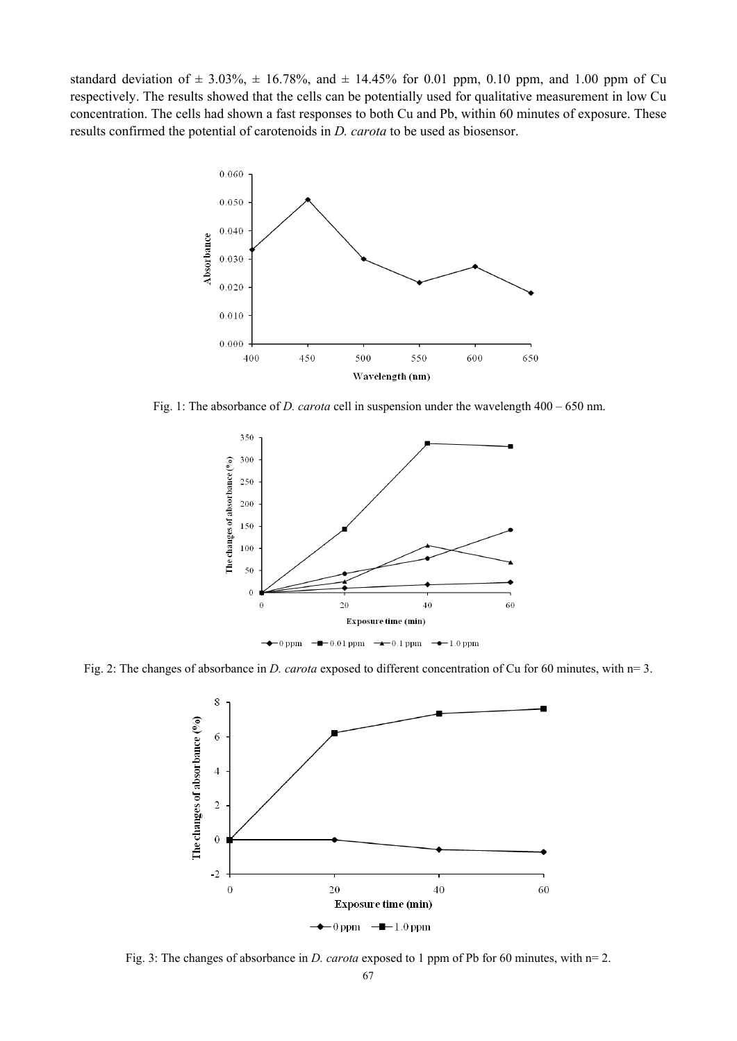standard deviation of  $\pm$  3.03%,  $\pm$  16.78%, and  $\pm$  14.45% for 0.01 ppm, 0.10 ppm, and 1.00 ppm of Cu respectively. The results showed that the cells can be potentially used for qualitative measurement in low Cu concentration. The cells had shown a fast responses to both Cu and Pb, within 60 minutes of exposure. These results confirmed the potential of carotenoids in *D. carota* to be used as biosensor.



Fig. 1: The absorbance of *D. carota* cell in suspension under the wavelength 400 – 650 nm.



Fig. 2: The changes of absorbance in *D. carota* exposed to different concentration of Cu for 60 minutes, with n= 3.



Fig. 3: The changes of absorbance in *D. carota* exposed to 1 ppm of Pb for 60 minutes, with n= 2.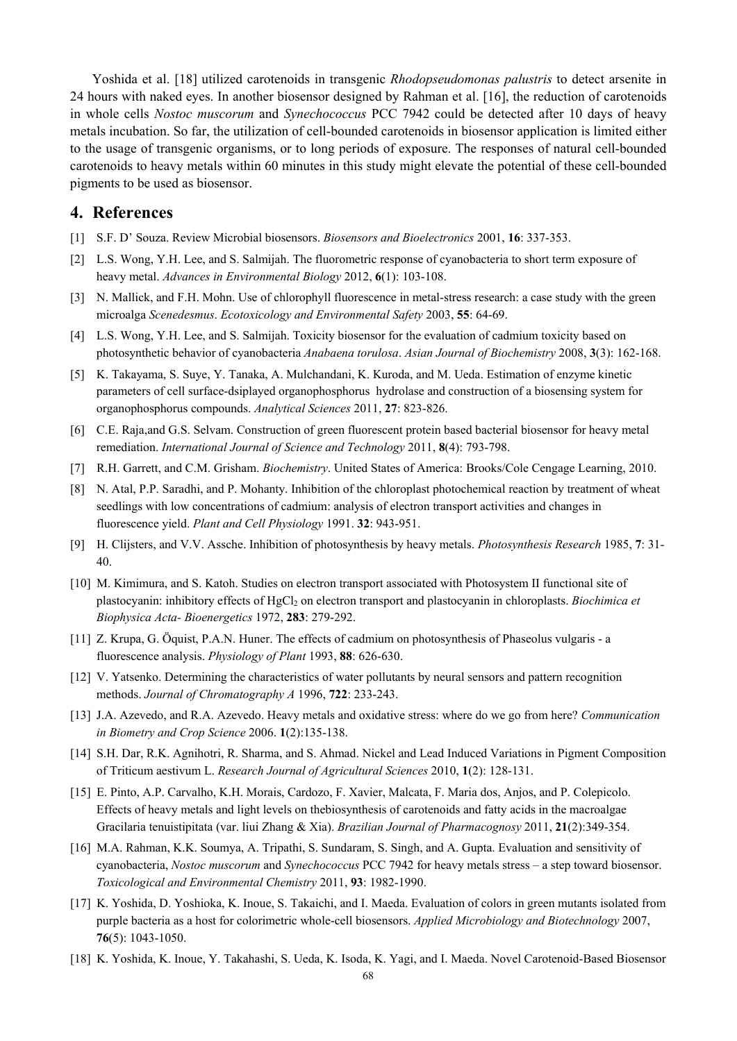Yoshida et al. [18] utilized carotenoids in transgenic *Rhodopseudomonas palustris* to detect arsenite in 24 hours with naked eyes. In another biosensor designed by Rahman et al. [16], the reduction of carotenoids in whole cells *Nostoc muscorum* and *Synechococcus* PCC 7942 could be detected after 10 days of heavy metals incubation. So far, the utilization of cell-bounded carotenoids in biosensor application is limited either to the usage of transgenic organisms, or to long periods of exposure. The responses of natural cell-bounded carotenoids to heavy metals within 60 minutes in this study might elevate the potential of these cell-bounded pigments to be used as biosensor.

## **4. References**

- [1] S.F. D' Souza. Review Microbial biosensors. *Biosensors and Bioelectronics* 2001, **16**: 337-353.
- [2] L.S. Wong, Y.H. Lee, and S. Salmijah. The fluorometric response of cyanobacteria to short term exposure of heavy metal. *Advances in Environmental Biology* 2012, **6**(1): 103-108.
- [3] N. Mallick, and F.H. Mohn. Use of chlorophyll fluorescence in metal-stress research: a case study with the green microalga *Scenedesmus*. *Ecotoxicology and Environmental Safety* 2003, **55**: 64-69.
- [4] L.S. Wong, Y.H. Lee, and S. Salmijah. Toxicity biosensor for the evaluation of cadmium toxicity based on photosynthetic behavior of cyanobacteria *Anabaena torulosa*. *Asian Journal of Biochemistry* 2008, **3**(3): 162-168.
- [5] K. Takayama, S. Suye, Y. Tanaka, A. Mulchandani, K. Kuroda, and M. Ueda. Estimation of enzyme kinetic parameters of cell surface-dsiplayed organophosphorus hydrolase and construction of a biosensing system for organophosphorus compounds. *Analytical Sciences* 2011, **27**: 823-826.
- [6] C.E. Raja,and G.S. Selvam. Construction of green fluorescent protein based bacterial biosensor for heavy metal remediation. *International Journal of Science and Technology* 2011, **8**(4): 793-798.
- [7] R.H. Garrett, and C.M. Grisham. *Biochemistry*. United States of America: Brooks/Cole Cengage Learning, 2010.
- [8] N. Atal, P.P. Saradhi, and P. Mohanty. Inhibition of the chloroplast photochemical reaction by treatment of wheat seedlings with low concentrations of cadmium: analysis of electron transport activities and changes in fluorescence yield. *Plant and Cell Physiology* 1991. **32**: 943-951.
- [9] H. Clijsters, and V.V. Assche. Inhibition of photosynthesis by heavy metals. *Photosynthesis Research* 1985, **7**: 31- 40.
- [10] M. Kimimura, and S. Katoh. Studies on electron transport associated with Photosystem II functional site of plastocyanin: inhibitory effects of HgCl<sub>2</sub> on electron transport and plastocyanin in chloroplasts. *Biochimica et Biophysica Acta- Bioenergetics* 1972, **283**: 279-292.
- [11] Z. Krupa, G. Öquist, P.A.N. Huner. The effects of cadmium on photosynthesis of Phaseolus vulgaris a fluorescence analysis. *Physiology of Plant* 1993, **88**: 626-630.
- [12] V. Yatsenko. Determining the characteristics of water pollutants by neural sensors and pattern recognition methods. *Journal of Chromatography A* 1996, **722**: 233-243.
- [13] J.A. Azevedo, and R.A. Azevedo. Heavy metals and oxidative stress: where do we go from here? *Communication in Biometry and Crop Science* 2006. **1**(2):135-138.
- [14] S.H. Dar, R.K. Agnihotri, R. Sharma, and S. Ahmad. Nickel and Lead Induced Variations in Pigment Composition of Triticum aestivum L. *Research Journal of Agricultural Sciences* 2010, **1**(2): 128-131.
- [15] E. Pinto, A.P. Carvalho, K.H. Morais, Cardozo, F. Xavier, Malcata, F. Maria dos, Anjos, and P. Colepicolo. Effects of heavy metals and light levels on thebiosynthesis of carotenoids and fatty acids in the macroalgae Gracilaria tenuistipitata (var. liui Zhang & Xia). *Brazilian Journal of Pharmacognosy* 2011, **21**(2):349-354.
- [16] M.A. Rahman, K.K. Soumya, A. Tripathi, S. Sundaram, S. Singh, and A. Gupta. Evaluation and sensitivity of cyanobacteria, *Nostoc muscorum* and *Synechococcus* PCC 7942 for heavy metals stress – a step toward biosensor. *Toxicological and Environmental Chemistry* 2011, **93**: 1982-1990.
- [17] K. Yoshida, D. Yoshioka, K. Inoue, S. Takaichi, and I. Maeda. Evaluation of colors in green mutants isolated from purple bacteria as a host for colorimetric whole-cell biosensors. *Applied Microbiology and Biotechnology* 2007, **76**(5): 1043-1050.
- [18] K. Yoshida, K. Inoue, Y. Takahashi, S. Ueda, K. Isoda, K. Yagi, and I. Maeda. Novel Carotenoid-Based Biosensor